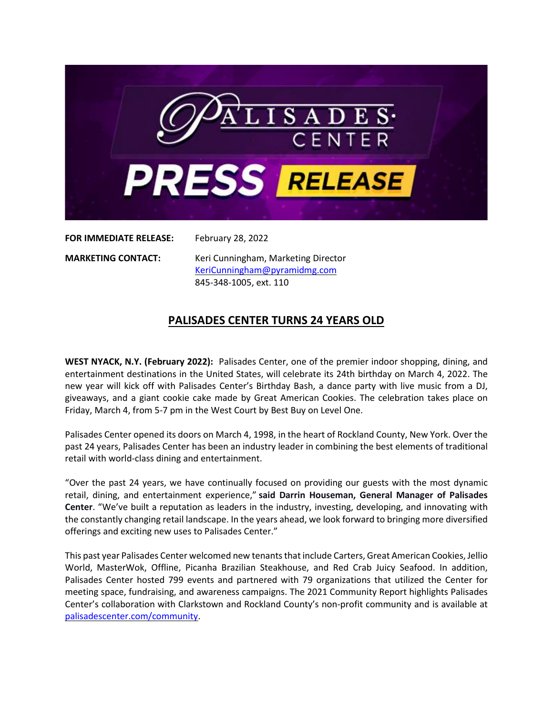

**FOR IMMEDIATE RELEASE:** February 28, 2022

**MARKETING CONTACT:** Keri Cunningham, Marketing Director [KeriCunningham@pyramidmg.com](mailto:KeriCunningham@pyramidmg.com) 845-348-1005, ext. 110

## **PALISADES CENTER TURNS 24 YEARS OLD**

**WEST NYACK, N.Y. (February 2022):** Palisades Center, one of the premier indoor shopping, dining, and entertainment destinations in the United States, will celebrate its 24th birthday on March 4, 2022. The new year will kick off with Palisades Center's Birthday Bash, a dance party with live music from a DJ, giveaways, and a giant cookie cake made by Great American Cookies. The celebration takes place on Friday, March 4, from 5-7 pm in the West Court by Best Buy on Level One.

Palisades Center opened its doors on March 4, 1998, in the heart of Rockland County, New York. Over the past 24 years, Palisades Center has been an industry leader in combining the best elements of traditional retail with world-class dining and entertainment.

"Over the past 24 years, we have continually focused on providing our guests with the most dynamic retail, dining, and entertainment experience," **said Darrin Houseman, General Manager of Palisades Center**. "We've built a reputation as leaders in the industry, investing, developing, and innovating with the constantly changing retail landscape. In the years ahead, we look forward to bringing more diversified offerings and exciting new uses to Palisades Center."

This past year Palisades Center welcomed new tenantsthat include Carters, Great American Cookies, Jellio World, MasterWok, Offline, Picanha Brazilian Steakhouse, and Red Crab Juicy Seafood. In addition, Palisades Center hosted 799 events and partnered with 79 organizations that utilized the Center for meeting space, fundraising, and awareness campaigns. The 2021 Community Report highlights Palisades Center's collaboration with Clarkstown and Rockland County's non-profit community and is available at [palisadescenter.com/community.](http://www.palisadescenter.com/community)